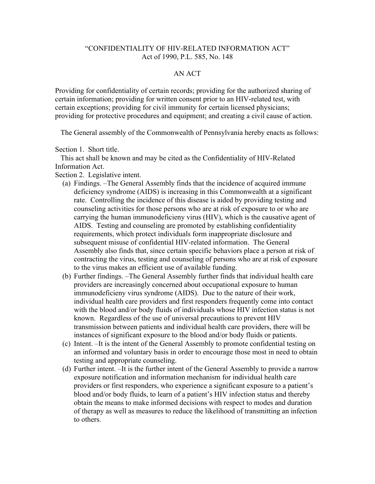## "CONFIDENTIALITY OF HIV-RELATED INFORMATION ACT" Act of 1990, P.L. 585, No. 148

#### AN ACT

Providing for confidentiality of certain records; providing for the authorized sharing of certain information; providing for written consent prior to an HIV-related test, with certain exceptions; providing for civil immunity for certain licensed physicians; providing for protective procedures and equipment; and creating a civil cause of action.

The General assembly of the Commonwealth of Pennsylvania hereby enacts as follows:

Section 1. Short title.

 This act shall be known and may be cited as the Confidentiality of HIV-Related Information Act.

Section 2. Legislative intent.

- (a) Findings. –The General Assembly finds that the incidence of acquired immune deficiency syndrome (AIDS) is increasing in this Commonwealth at a significant rate. Controlling the incidence of this disease is aided by providing testing and counseling activities for those persons who are at risk of exposure to or who are carrying the human immunodeficieny virus (HIV), which is the causative agent of AIDS. Testing and counseling are promoted by establishing confidentiality requirements, which protect individuals form inappropriate disclosure and subsequent misuse of confidential HIV-related information. The General Assembly also finds that, since certain specific behaviors place a person at risk of contracting the virus, testing and counseling of persons who are at risk of exposure to the virus makes an efficient use of available funding.
- (b) Further findings. –The General Assembly further finds that individual health care providers are increasingly concerned about occupational exposure to human immunodeficieny virus syndrome (AIDS). Due to the nature of their work, individual health care providers and first responders frequently come into contact with the blood and/or body fluids of individuals whose HIV infection status is not known. Regardless of the use of universal precautions to prevent HIV transmission between patients and individual health care providers, there will be instances of significant exposure to the blood and/or body fluids or patients.
- (c) Intent. –It is the intent of the General Assembly to promote confidential testing on an informed and voluntary basis in order to encourage those most in need to obtain testing and appropriate counseling.
- (d) Further intent. –It is the further intent of the General Assembly to provide a narrow exposure notification and information mechanism for individual health care providers or first responders, who experience a significant exposure to a patient's blood and/or body fluids, to learn of a patient's HIV infection status and thereby obtain the means to make informed decisions with respect to modes and duration of therapy as well as measures to reduce the likelihood of transmitting an infection to others.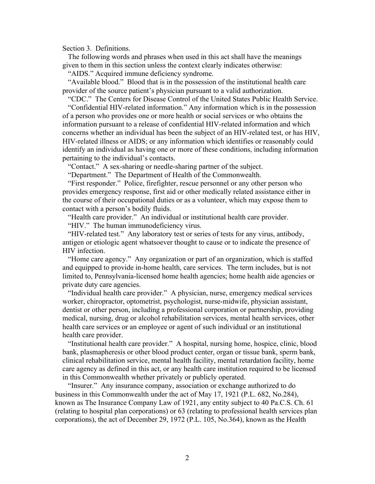Section 3. Definitions.

 The following words and phrases when used in this act shall have the meanings given to them in this section unless the context clearly indicates otherwise:

"AIDS." Acquired immune deficiency syndrome.

 "Available blood." Blood that is in the possession of the institutional health care provider of the source patient's physician pursuant to a valid authorization.

 "CDC." The Centers for Disease Control of the United States Public Health Service. "Confidential HIV-related information." Any information which is in the possession of a person who provides one or more health or social services or who obtains the information pursuant to a release of confidential HIV-related information and which concerns whether an individual has been the subject of an HIV-related test, or has HIV, HIV-related illness or AIDS; or any information which identifies or reasonably could identify an individual as having one or more of these conditions, including information pertaining to the individual's contacts.

"Contact." A sex-sharing or needle-sharing partner of the subject.

"Department." The Department of Health of the Commonwealth.

 "First responder." Police, firefighter, rescue personnel or any other person who provides emergency response, first aid or other medically related assistance either in the course of their occupational duties or as a volunteer, which may expose them to contact with a person's bodily fluids.

"Health care provider." An individual or institutional health care provider.

"HIV." The human immunodeficiency virus.

 "HIV-related test." Any laboratory test or series of tests for any virus, antibody, antigen or etiologic agent whatsoever thought to cause or to indicate the presence of HIV infection.

 "Home care agency." Any organization or part of an organization, which is staffed and equipped to provide in-home health, care services. The term includes, but is not limited to, Pennsylvania-licensed home health agencies; home health aide agencies or private duty care agencies.

 "Individual health care provider." A physician, nurse, emergency medical services worker, chiropractor, optometrist, psychologist, nurse-midwife, physician assistant, dentist or other person, including a professional corporation or partnership, providing medical, nursing, drug or alcohol rehabilitation services, mental health services, other health care services or an employee or agent of such individual or an institutional health care provider.

 "Institutional health care provider." A hospital, nursing home, hospice, clinic, blood bank, plasmapheresis or other blood product center, organ or tissue bank, sperm bank, clinical rehabilitation service, mental health facility, mental retardation facility, home care agency as defined in this act, or any health care institution required to be licensed in this Commonwealth whether privately or publicly operated.

 "Insurer." Any insurance company, association or exchange authorized to do business in this Commonwealth under the act of May 17, 1921 (P.L. 682, No.284), known as The Insurance Company Law of 1921, any entity subject to 40 Pa.C.S. Ch. 61 (relating to hospital plan corporations) or 63 (relating to professional health services plan corporations), the act of December 29, 1972 (P.L. 105, No.364), known as the Health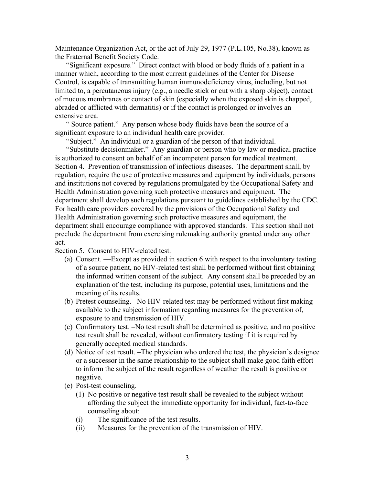Maintenance Organization Act, or the act of July 29, 1977 (P.L.105, No.38), known as the Fraternal Benefit Society Code.

 "Significant exposure." Direct contact with blood or body fluids of a patient in a manner which, according to the most current guidelines of the Center for Disease Control, is capable of transmitting human immunodeficiency virus, including, but not limited to, a percutaneous injury (e.g., a needle stick or cut with a sharp object), contact of mucous membranes or contact of skin (especially when the exposed skin is chapped, abraded or afflicted with dermatitis) or if the contact is prolonged or involves an extensive area.

 " Source patient." Any person whose body fluids have been the source of a significant exposure to an individual health care provider.

"Subject." An individual or a guardian of the person of that individual.

 "Substitute decisionmaker." Any guardian or person who by law or medical practice is authorized to consent on behalf of an incompetent person for medical treatment. Section 4. Prevention of transmission of infectious diseases. The department shall, by regulation, require the use of protective measures and equipment by individuals, persons and institutions not covered by regulations promulgated by the Occupational Safety and Health Administration governing such protective measures and equipment. The department shall develop such regulations pursuant to guidelines established by the CDC. For health care providers covered by the provisions of the Occupational Safety and Health Administration governing such protective measures and equipment, the department shall encourage compliance with approved standards. This section shall not preclude the department from exercising rulemaking authority granted under any other act.

Section 5. Consent to HIV-related test.

- (a) Consent. —Except as provided in section 6 with respect to the involuntary testing of a source patient, no HIV-related test shall be performed without first obtaining the informed written consent of the subject. Any consent shall be preceded by an explanation of the test, including its purpose, potential uses, limitations and the meaning of its results.
- (b) Pretest counseling. –No HIV-related test may be performed without first making available to the subject information regarding measures for the prevention of, exposure to and transmission of HIV.
- (c) Confirmatory test. –No test result shall be determined as positive, and no positive test result shall be revealed, without confirmatory testing if it is required by generally accepted medical standards.
- (d) Notice of test result. –The physician who ordered the test, the physician's designee or a successor in the same relationship to the subject shall make good faith effort to inform the subject of the result regardless of weather the result is positive or negative.
- (e) Post-test counseling.
	- (1) No positive or negative test result shall be revealed to the subject without affording the subject the immediate opportunity for individual, fact-to-face counseling about:
	- (i) The significance of the test results.
	- (ii) Measures for the prevention of the transmission of HIV.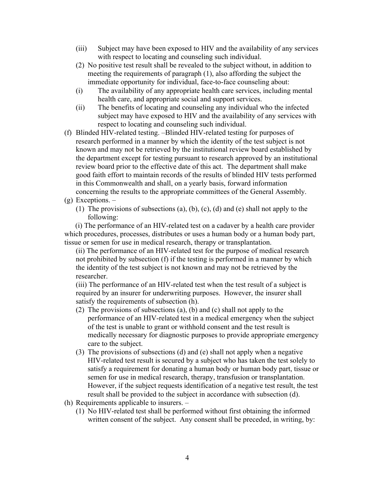- (iii) Subject may have been exposed to HIV and the availability of any services with respect to locating and counseling such individual.
- (2) No positive test result shall be revealed to the subject without, in addition to meeting the requirements of paragraph (1), also affording the subject the immediate opportunity for individual, face-to-face counseling about:
- (i) The availability of any appropriate health care services, including mental health care, and appropriate social and support services.
- (ii) The benefits of locating and counseling any individual who the infected subject may have exposed to HIV and the availability of any services with respect to locating and counseling such individual.
- (f) Blinded HIV-related testing. –Blinded HIV-related testing for purposes of research performed in a manner by which the identity of the test subject is not known and may not be retrieved by the institutional review board established by the department except for testing pursuant to research approved by an institutional review board prior to the effective date of this act. The department shall make good faith effort to maintain records of the results of blinded HIV tests performed in this Commonwealth and shall, on a yearly basis, forward information concerning the results to the appropriate committees of the General Assembly.
- (g) Exceptions.
	- (1) The provisions of subsections (a), (b), (c), (d) and (e) shall not apply to the following:

 (i) The performance of an HIV-related test on a cadaver by a health care provider which procedures, processes, distributes or uses a human body or a human body part, tissue or semen for use in medical research, therapy or transplantation.

(ii) The performance of an HIV-related test for the purpose of medical research not prohibited by subsection (f) if the testing is performed in a manner by which the identity of the test subject is not known and may not be retrieved by the researcher.

(iii) The performance of an HIV-related test when the test result of a subject is required by an insurer for underwriting purposes. However, the insurer shall satisfy the requirements of subsection (h).

- (2) The provisions of subsections (a), (b) and (c) shall not apply to the performance of an HIV-related test in a medical emergency when the subject of the test is unable to grant or withhold consent and the test result is medically necessary for diagnostic purposes to provide appropriate emergency care to the subject.
- (3) The provisions of subsections (d) and (e) shall not apply when a negative HIV-related test result is secured by a subject who has taken the test solely to satisfy a requirement for donating a human body or human body part, tissue or semen for use in medical research, therapy, transfusion or transplantation. However, if the subject requests identification of a negative test result, the test result shall be provided to the subject in accordance with subsection (d).
- (h) Requirements applicable to insurers.
	- (1) No HIV-related test shall be performed without first obtaining the informed written consent of the subject. Any consent shall be preceded, in writing, by: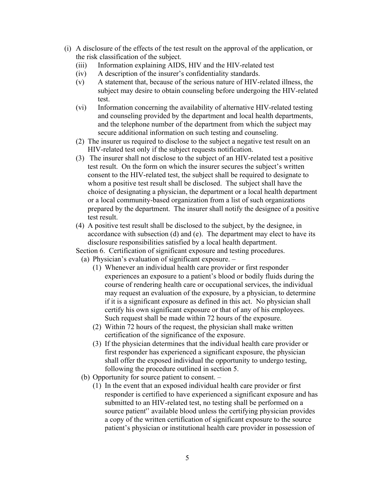- (i) A disclosure of the effects of the test result on the approval of the application, or the risk classification of the subject.
	- (iii) Information explaining AIDS, HIV and the HIV-related test
	- (iv) A description of the insurer's confidentiality standards.
	- (v) A statement that, because of the serious nature of HIV-related illness, the subject may desire to obtain counseling before undergoing the HIV-related test.
	- (vi) Information concerning the availability of alternative HIV-related testing and counseling provided by the department and local health departments, and the telephone number of the department from which the subject may secure additional information on such testing and counseling.
	- (2) The insurer us required to disclose to the subject a negative test result on an HIV-related test only if the subject requests notification.
	- (3) The insurer shall not disclose to the subject of an HIV-related test a positive test result. On the form on which the insurer secures the subject's written consent to the HIV-related test, the subject shall be required to designate to whom a positive test result shall be disclosed. The subject shall have the choice of designating a physician, the department or a local health department or a local community-based organization from a list of such organizations prepared by the department. The insurer shall notify the designee of a positive test result.
	- (4) A positive test result shall be disclosed to the subject, by the designee, in accordance with subsection (d) and (e). The department may elect to have its disclosure responsibilities satisfied by a local health department.

Section 6. Certification of significant exposure and testing procedures.

- (a) Physician's evaluation of significant exposure.
	- (1) Whenever an individual health care provider or first responder experiences an exposure to a patient's blood or bodily fluids during the course of rendering health care or occupational services, the individual may request an evaluation of the exposure, by a physician, to determine if it is a significant exposure as defined in this act. No physician shall certify his own significant exposure or that of any of his employees. Such request shall be made within 72 hours of the exposure.
	- (2) Within 72 hours of the request, the physician shall make written certification of the significance of the exposure.
	- (3) If the physician determines that the individual health care provider or first responder has experienced a significant exposure, the physician shall offer the exposed individual the opportunity to undergo testing, following the procedure outlined in section 5.
- (b) Opportunity for source patient to consent.
	- (1) In the event that an exposed individual health care provider or first responder is certified to have experienced a significant exposure and has submitted to an HIV-related test, no testing shall be performed on a source patient'' available blood unless the certifying physician provides a copy of the written certification of significant exposure to the source patient's physician or institutional health care provider in possession of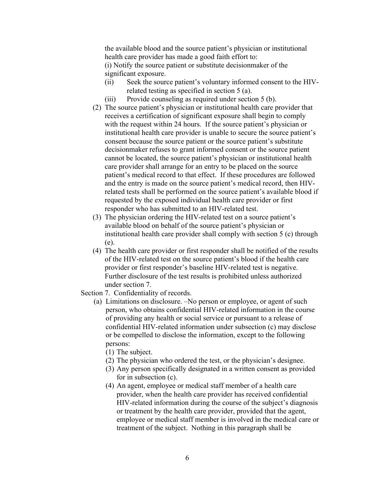the available blood and the source patient's physician or institutional health care provider has made a good faith effort to: (i) Notify the source patient or substitute decisionmaker of the significant exposure.

- (ii) Seek the source patient's voluntary informed consent to the HIVrelated testing as specified in section 5 (a).
- (iii) Provide counseling as required under section 5 (b).
- (2) The source patient's physician or institutional health care provider that receives a certification of significant exposure shall begin to comply with the request within 24 hours. If the source patient's physician or institutional health care provider is unable to secure the source patient's consent because the source patient or the source patient's substitute decisionmaker refuses to grant informed consent or the source patient cannot be located, the source patient's physician or institutional health care provider shall arrange for an entry to be placed on the source patient's medical record to that effect. If these procedures are followed and the entry is made on the source patient's medical record, then HIVrelated tests shall be performed on the source patient's available blood if requested by the exposed individual health care provider or first responder who has submitted to an HIV-related test.
- (3) The physician ordering the HIV-related test on a source patient's available blood on behalf of the source patient's physician or institutional health care provider shall comply with section 5 (c) through (e).
- (4) The health care provider or first responder shall be notified of the results of the HIV-related test on the source patient's blood if the health care provider or first responder's baseline HIV-related test is negative. Further disclosure of the test results is prohibited unless authorized under section 7.

Section 7. Confidentiality of records.

- (a) Limitations on disclosure. –No person or employee, or agent of such person, who obtains confidential HIV-related information in the course of providing any health or social service or pursuant to a release of confidential HIV-related information under subsection (c) may disclose or be compelled to disclose the information, except to the following persons:
	- (1) The subject.
	- (2) The physician who ordered the test, or the physician's designee.
	- (3) Any person specifically designated in a written consent as provided for in subsection (c).
	- (4) An agent, employee or medical staff member of a health care provider, when the health care provider has received confidential HIV-related information during the course of the subject's diagnosis or treatment by the health care provider, provided that the agent, employee or medical staff member is involved in the medical care or treatment of the subject. Nothing in this paragraph shall be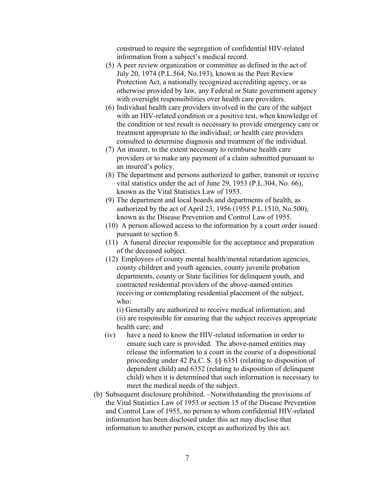construed to require the segregation of confidential HIV-related information from a subject's medical record.

- (5) A peer review organization or committee as defined in the act of July 20, 1974 (P.L.564, No.193), known as the Peer Review Protection Act, a nationally recognized accrediting agency, or as otherwise provided by law, any Federal or State government agency with oversight responsibilities over health care providers.
- (6) Individual health care providers involved in the care of the subject with an HIV-related condition or a positive test, when knowledge of the condition or test result is necessary to provide emergency care or treatment appropriate to the individual; or health care providers consulted to determine diagnosis and treatment of the individual.
- (7) An insurer, to the extent necessary to reimburse health care providers or to make any payment of a claim submitted pursuant to an insured's policy.
- (8) The department and persons authorized to gather, transmit or receive vital statistics under the act of June 29, 1953 (P.L.304, No. 66), known as the Vital Statistics Law of 1953.
- (9) The department and local boards and departments of health, as authorized by the act of April 23, 1956 (1955 P.L.1510, No.500), known as the Disease Prevention and Control Law of 1955.
- (10) A person allowed access to the information by a court order issued pursuant to section 8.
- (11) A funeral director responsible for the acceptance and preparation of the deceased subject.
- (12) Employees of county mental health/mental retardation agencies, county children and youth agencies, county juvenile probation departments, county or State facilities for delinquent youth, and contracted residential providers of the above-named entities receiving or contemplating residential placement of the subject, who:

(i) Generally are authorized to receive medical information; and

(ii) are responsible for ensuring that the subject receives appropriate health care; and

- (iv) have a need to know the HIV-related information in order to ensure such care is provided. The above-named entities may release the information to a court in the course of a dispositional proceeding under 42 Pa.C. S. §§ 6351 (relating to disposition of dependent child) and 6352 (relating to disposition of delinquent child) when it is determined that such information is necessary to meet the medical needs of the subject.
- (b) Subsequent disclosure prohibited. –Notwithstanding the provisions of the Vital Statistics Law of 1953 or section 15 of the Disease Prevention and Control Law of 1955, no person to whom confidential HIV-related information has been disclosed under this act may disclose that information to another person, except as authorized by this act.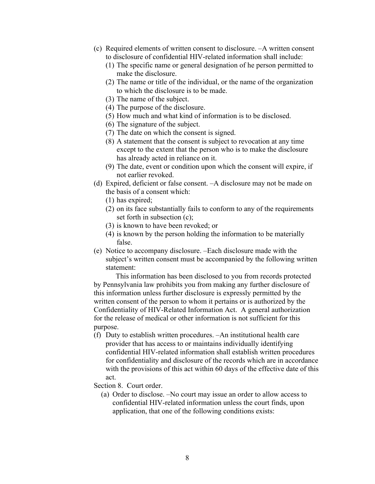- (c) Required elements of written consent to disclosure. –A written consent to disclosure of confidential HIV-related information shall include:
	- (1) The specific name or general designation of he person permitted to make the disclosure.
	- (2) The name or title of the individual, or the name of the organization to which the disclosure is to be made.
	- (3) The name of the subject.
	- (4) The purpose of the disclosure.
	- (5) How much and what kind of information is to be disclosed.
	- (6) The signature of the subject.
	- (7) The date on which the consent is signed.
	- (8) A statement that the consent is subject to revocation at any time except to the extent that the person who is to make the disclosure has already acted in reliance on it.
	- (9) The date, event or condition upon which the consent will expire, if not earlier revoked.
- (d) Expired, deficient or false consent. –A disclosure may not be made on the basis of a consent which:
	- (1) has expired;
	- (2) on its face substantially fails to conform to any of the requirements set forth in subsection (c);
	- (3) is known to have been revoked; or
	- (4) is known by the person holding the information to be materially false.
- (e) Notice to accompany disclosure. –Each disclosure made with the subject's written consent must be accompanied by the following written statement:

 This information has been disclosed to you from records protected by Pennsylvania law prohibits you from making any further disclosure of this information unless further disclosure is expressly permitted by the written consent of the person to whom it pertains or is authorized by the Confidentiality of HIV-Related Information Act. A general authorization for the release of medical or other information is not sufficient for this purpose.

(f) Duty to establish written procedures. –An institutional health care provider that has access to or maintains individually identifying confidential HIV-related information shall establish written procedures for confidentiality and disclosure of the records which are in accordance with the provisions of this act within 60 days of the effective date of this act.

Section 8. Court order.

(a) Order to disclose. –No court may issue an order to allow access to confidential HIV-related information unless the court finds, upon application, that one of the following conditions exists: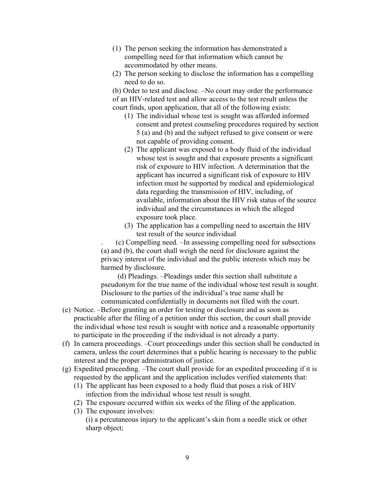- (1) The person seeking the information has demonstrated a compelling need for that information which cannot be accommodated by other means.
- (2) The person seeking to disclose the information has a compelling need to do so.

(b) Order to test and disclose. –No court may order the performance of an HIV-related test and allow access to the test result unless the court finds, upon application, that all of the following exists:

- (1) The individual whose test is sought was afforded informed consent and pretest counseling procedures required by section 5 (a) and (b) and the subject refused to give consent or were not capable of providing consent.
- (2) The applicant was exposed to a body fluid of the individual whose test is sought and that exposure presents a significant risk of exposure to HIV infection. A determination that the applicant has incurred a significant risk of exposure to HIV infection must be supported by medical and epidemiological data regarding the transmission of HIV, including, of available, information about the HIV risk status of the source individual and the circumstances in which the alleged exposure took place.
- (3) The application has a compelling need to ascertain the HIV test result of the source individual

. (c) Compelling need. –In assessing compelling need for subsections (a) and (b), the court shall weigh the need for disclosure against the privacy interest of the individual and the public interests which may be harmed by disclosure.

 (d) Pleadings. –Pleadings under this section shall substitute a pseudonym for the true name of the individual whose test result is sought. Disclosure to the parties of the individual's true name shall be communicated confidentially in documents not filed with the court.

- (e) Notice. –Before granting an order for testing or disclosure and as soon as practicable after the filing of a petition under this section, the court shall provide the individual whose test result is sought with notice and a reasonable opportunity to participate in the proceeding if the individual is not already a party.
- (f) In camera proceedings. –Court proceedings under this section shall be conducted in camera, unless the court determines that a public hearing is necessary to the public interest and the proper administration of justice.
- (g) Expedited proceeding. –The court shall provide for an expedited proceeding if it is requested by the applicant and the application includes verified statements that:
	- (1) The applicant has been exposed to a body fluid that poses a risk of HIV infection from the individual whose test result is sought.
	- (2) The exposure occurred within six weeks of the filing of the application.
	- (3) The exposure involves:

(i) a percutaneous injury to the applicant's skin from a needle stick or other sharp object;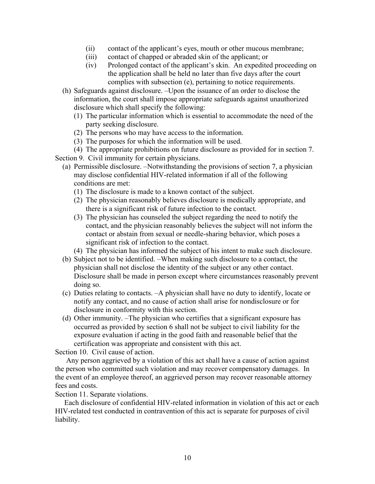- (ii) contact of the applicant's eyes, mouth or other mucous membrane;
- (iii) contact of chapped or abraded skin of the applicant; or
- (iv) Prolonged contact of the applicant's skin. An expedited proceeding on the application shall be held no later than five days after the court complies with subsection (e), pertaining to notice requirements.
- (h) Safeguards against disclosure. –Upon the issuance of an order to disclose the information, the court shall impose appropriate safeguards against unauthorized disclosure which shall specify the following:
	- (1) The particular information which is essential to accommodate the need of the party seeking disclosure.
	- (2) The persons who may have access to the information.
	- (3) The purposes for which the information will be used.
- (4) The appropriate prohibitions on future disclosure as provided for in section 7.
- Section 9. Civil immunity for certain physicians.
	- (a) Permissible disclosure. –Notwithstanding the provisions of section 7, a physician may disclose confidential HIV-related information if all of the following conditions are met:
		- (1) The disclosure is made to a known contact of the subject.
		- (2) The physician reasonably believes disclosure is medically appropriate, and there is a significant risk of future infection to the contact.
		- (3) The physician has counseled the subject regarding the need to notify the contact, and the physician reasonably believes the subject will not inform the contact or abstain from sexual or needle-sharing behavior, which poses a significant risk of infection to the contact.
		- (4) The physician has informed the subject of his intent to make such disclosure.
	- (b) Subject not to be identified. –When making such disclosure to a contact, the physician shall not disclose the identity of the subject or any other contact. Disclosure shall be made in person except where circumstances reasonably prevent doing so.
	- (c) Duties relating to contacts. –A physician shall have no duty to identify, locate or notify any contact, and no cause of action shall arise for nondisclosure or for disclosure in conformity with this section.
	- (d) Other immunity. –The physician who certifies that a significant exposure has occurred as provided by section 6 shall not be subject to civil liability for the exposure evaluation if acting in the good faith and reasonable belief that the certification was appropriate and consistent with this act.

Section 10. Civil cause of action.

 Any person aggrieved by a violation of this act shall have a cause of action against the person who committed such violation and may recover compensatory damages. In the event of an employee thereof, an aggrieved person may recover reasonable attorney fees and costs.

Section 11. Separate violations.

 Each disclosure of confidential HIV-related information in violation of this act or each HIV-related test conducted in contravention of this act is separate for purposes of civil liability.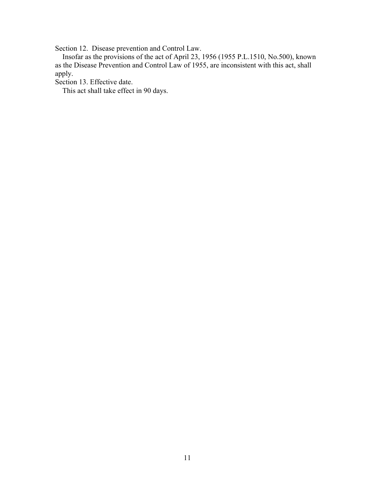Section 12. Disease prevention and Control Law.

 Insofar as the provisions of the act of April 23, 1956 (1955 P.L.1510, No.500), known as the Disease Prevention and Control Law of 1955, are inconsistent with this act, shall apply.

Section 13. Effective date.

This act shall take effect in 90 days.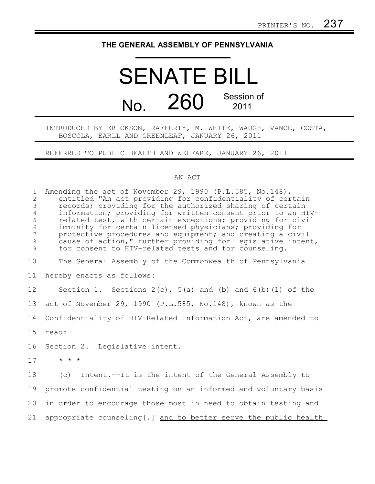## **THE GENERAL ASSEMBLY OF PENNSYLVANIA**

# SENATE BILL No. 260 Session of 2011

INTRODUCED BY ERICKSON, RAFFERTY, M. WHITE, WAUGH, VANCE, COSTA, BOSCOLA, EARLL AND GREENLEAF, JANUARY 26, 2011

REFERRED TO PUBLIC HEALTH AND WELFARE, JANUARY 26, 2011

#### AN ACT

| $\mathbf{1}$<br>$\overline{c}$<br>$\mathfrak{Z}$<br>$\overline{4}$<br>5<br>$\epsilon$<br>$\overline{7}$<br>$\,8\,$<br>9 | Amending the act of November 29, 1990 (P.L.585, No.148),<br>entitled "An act providing for confidentiality of certain<br>records; providing for the authorized sharing of certain<br>information; providing for written consent prior to an HIV-<br>related test, with certain exceptions; providing for civil<br>immunity for certain licensed physicians; providing for<br>protective procedures and equipment; and creating a civil<br>cause of action," further providing for legislative intent,<br>for consent to HIV-related tests and for counseling. |
|-------------------------------------------------------------------------------------------------------------------------|---------------------------------------------------------------------------------------------------------------------------------------------------------------------------------------------------------------------------------------------------------------------------------------------------------------------------------------------------------------------------------------------------------------------------------------------------------------------------------------------------------------------------------------------------------------|
| 10                                                                                                                      | The General Assembly of the Commonwealth of Pennsylvania                                                                                                                                                                                                                                                                                                                                                                                                                                                                                                      |
| 11                                                                                                                      | hereby enacts as follows:                                                                                                                                                                                                                                                                                                                                                                                                                                                                                                                                     |
| 12                                                                                                                      | Section 1. Sections $2(c)$ , $5(a)$ and (b) and $6(b)$ (1) of the                                                                                                                                                                                                                                                                                                                                                                                                                                                                                             |
| 13                                                                                                                      | act of November 29, 1990 (P.L.585, No.148), known as the                                                                                                                                                                                                                                                                                                                                                                                                                                                                                                      |
| 14                                                                                                                      | Confidentiality of HIV-Related Information Act, are amended to                                                                                                                                                                                                                                                                                                                                                                                                                                                                                                |
| 15                                                                                                                      | read:                                                                                                                                                                                                                                                                                                                                                                                                                                                                                                                                                         |
| 16                                                                                                                      | Section 2. Legislative intent.                                                                                                                                                                                                                                                                                                                                                                                                                                                                                                                                |
| 17                                                                                                                      | $\star$ $\star$ $\star$                                                                                                                                                                                                                                                                                                                                                                                                                                                                                                                                       |
| 18                                                                                                                      | (c) Intent.--It is the intent of the General Assembly to                                                                                                                                                                                                                                                                                                                                                                                                                                                                                                      |
| 19                                                                                                                      | promote confidential testing on an informed and voluntary basis                                                                                                                                                                                                                                                                                                                                                                                                                                                                                               |
| 20                                                                                                                      | in order to encourage those most in need to obtain testing and                                                                                                                                                                                                                                                                                                                                                                                                                                                                                                |
| 21                                                                                                                      | appropriate counseling[.] and to better serve the public health                                                                                                                                                                                                                                                                                                                                                                                                                                                                                               |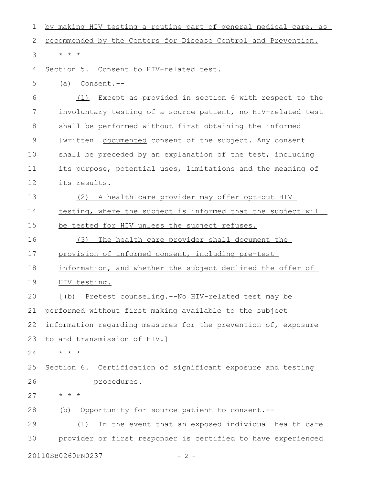by making HIV testing a routine part of general medical care, as recommended by the Centers for Disease Control and Prevention. \* \* \* Section 5. Consent to HIV-related test. (a) Consent.-- (1) Except as provided in section 6 with respect to the involuntary testing of a source patient, no HIV-related test shall be performed without first obtaining the informed [written] documented consent of the subject. Any consent shall be preceded by an explanation of the test, including its purpose, potential uses, limitations and the meaning of its results. (2) A health care provider may offer opt-out HIV testing, where the subject is informed that the subject will be tested for HIV unless the subject refuses. (3) The health care provider shall document the provision of informed consent, including pre-test information, and whether the subject declined the offer of HIV testing. [(b) Pretest counseling.--No HIV-related test may be performed without first making available to the subject information regarding measures for the prevention of, exposure to and transmission of HIV.] \* \* \* Section 6. Certification of significant exposure and testing procedures. \* \* \* (b) Opportunity for source patient to consent.-- (1) In the event that an exposed individual health care provider or first responder is certified to have experienced 20110SB0260PN0237 - 2 -1 2 3 4 5 6 7 8 9 10 11 12 13 14 15 16 17 18 19 20 21 22 23 24 25 26 27 28 29 30